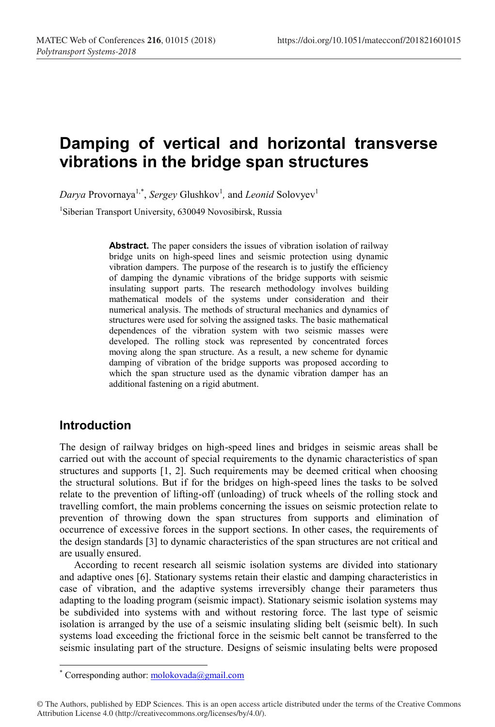# **Damping of vertical and horizontal transverse vibrations in the bridge span structures**

 $Darya$  Provornaya<sup>1,\*</sup>, *Sergey* Glushkov<sup>1</sup>, and *Leonid* Solovyev<sup>1</sup> <sup>1</sup>Siberian Transport University, 630049 Novosibirsk, Russia

> **Abstract.** The paper considers the issues of vibration isolation of railway bridge units on high-speed lines and seismic protection using dynamic vibration dampers. The purpose of the research is to justify the efficiency of damping the dynamic vibrations of the bridge supports with seismic insulating support parts. The research methodology involves building mathematical models of the systems under consideration and their numerical analysis. The methods of structural mechanics and dynamics of structures were used for solving the assigned tasks. The basic mathematical dependences of the vibration system with two seismic masses were developed. The rolling stock was represented by concentrated forces moving along the span structure. As a result, a new scheme for dynamic damping of vibration of the bridge supports was proposed according to which the span structure used as the dynamic vibration damper has an additional fastening on a rigid abutment.

## **Introduction**

The design of railway bridges on high-speed lines and bridges in seismic areas shall be carried out with the account of special requirements to the dynamic characteristics of span structures and supports [1, 2]. Such requirements may be deemed critical when choosing the structural solutions. But if for the bridges on high-speed lines the tasks to be solved relate to the prevention of lifting-off (unloading) of truck wheels of the rolling stock and travelling comfort, the main problems concerning the issues on seismic protection relate to prevention of throwing down the span structures from supports and elimination of occurrence of excessive forces in the support sections. In other cases, the requirements of the design standards [3] to dynamic characteristics of the span structures are not critical and are usually ensured.

According to recent research all seismic isolation systems are divided into stationary and adaptive ones [6]. Stationary systems retain their elastic and damping characteristics in case of vibration, and the adaptive systems irreversibly change their parameters thus adapting to the loading program (seismic impact). Stationary seismic isolation systems may be subdivided into systems with and without restoring force. The last type of seismic isolation is arranged by the use of a seismic insulating sliding belt (seismic belt). In such systems load exceeding the frictional force in the seismic belt cannot be transferred to the seismic insulating part of the structure. Designs of seismic insulating belts were proposed

<sup>\*</sup> Corresponding author:  $m\nolimits$ olokovada@gmail.com

<sup>©</sup> The Authors, published by EDP Sciences. This is an open access article distributed under the terms of the Creative Commons Attribution License 4.0 (http://creativecommons.org/licenses/by/4.0/).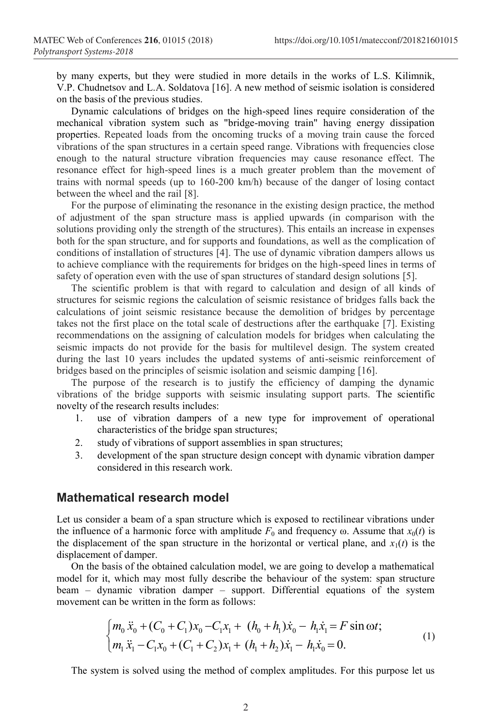by many experts, but they were studied in more details in the works of L.S. Kilimnik, V.P. Chudnetsov and L.A. Soldatova [16]. A new method of seismic isolation is considered on the basis of the previous studies.

Dynamic calculations of bridges on the high-speed lines require consideration of the mechanical vibration system such as "bridge-moving train" having energy dissipation properties. Repeated loads from the oncoming trucks of a moving train cause the forced vibrations of the span structures in a certain speed range. Vibrations with frequencies close enough to the natural structure vibration frequencies may cause resonance effect. The resonance effect for high-speed lines is a much greater problem than the movement of trains with normal speeds (up to 160-200 km/h) because of the danger of losing contact between the wheel and the rail [8].

For the purpose of eliminating the resonance in the existing design practice, the method of adjustment of the span structure mass is applied upwards (in comparison with the solutions providing only the strength of the structures). This entails an increase in expenses both for the span structure, and for supports and foundations, as well as the complication of conditions of installation of structures [4]. The use of dynamic vibration dampers allows us to achieve compliance with the requirements for bridges on the high-speed lines in terms of safety of operation even with the use of span structures of standard design solutions [5].

The scientific problem is that with regard to calculation and design of all kinds of structures for seismic regions the calculation of seismic resistance of bridges falls back the calculations of joint seismic resistance because the demolition of bridges by percentage takes not the first place on the total scale of destructions after the earthquake [7]. Existing recommendations on the assigning of calculation models for bridges when calculating the seismic impacts do not provide for the basis for multilevel design. The system created during the last 10 years includes the updated systems of anti-seismic reinforcement of bridges based on the principles of seismic isolation and seismic damping [16].

The purpose of the research is to justify the efficiency of damping the dynamic vibrations of the bridge supports with seismic insulating support parts. The scientific novelty of the research results includes:

- 1. use of vibration dampers of a new type for improvement of operational characteristics of the bridge span structures;
- 2. study of vibrations of support assemblies in span structures;
- 3. development of the span structure design concept with dynamic vibration damper considered in this research work.

#### **Mathematical research model**

Let us consider a beam of a span structure which is exposed to rectilinear vibrations under the influence of a harmonic force with amplitude  $F_0$  and frequency  $\omega$ . Assume that  $x_0(t)$  is the displacement of the span structure in the horizontal or vertical plane, and  $x_1(t)$  is the displacement of damper.

On the basis of the obtained calculation model, we are going to develop a mathematical model for it, which may most fully describe the behaviour of the system: span structure beam – dynamic vibration damper – support. Differential equations of the system movement can be written in the form as follows:

$$
\begin{cases}\nm_0\,\ddot{x}_0 + (C_0 + C_1)x_0 - C_1x_1 + (h_0 + h_1)\dot{x}_0 - h_1\dot{x}_1 = F\sin\omega t; \\
m_1\,\ddot{x}_1 - C_1x_0 + (C_1 + C_2)x_1 + (h_1 + h_2)\dot{x}_1 - h_1\dot{x}_0 = 0.\n\end{cases} \tag{1}
$$

The system is solved using the method of complex amplitudes. For this purpose let us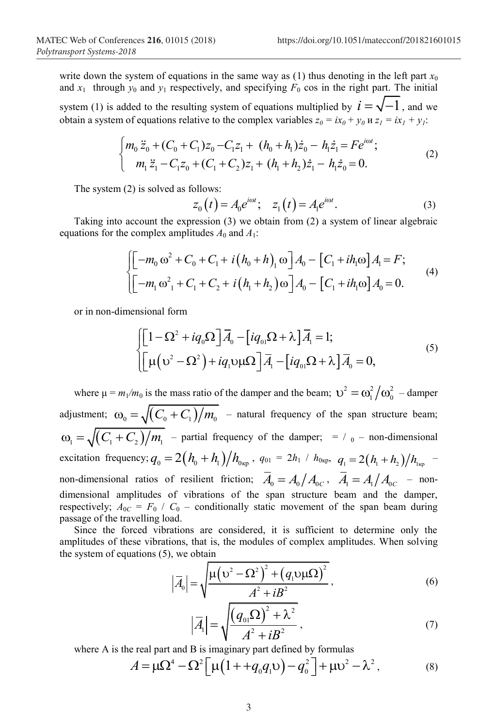write down the system of equations in the same way as (1) thus denoting in the left part  $x_0$ and  $x_1$  through  $y_0$  and  $y_1$  respectively, and specifying  $F_0$  cos in the right part. The initial system (1) is added to the resulting system of equations multiplied by  $i = \sqrt{-1}$ , and we obtain a system of equations relative to the complex variables  $z_0 = ix_0 + y_0$   $u z_1 = ix_1 + y_1$ :

$$
\begin{cases}\nm_0 \ddot{z}_0 + (C_0 + C_1)z_0 - C_1 z_1 + (h_0 + h_1)\dot{z}_0 - h_1 \dot{z}_1 = F e^{i\omega t}; \\
m_1 \ddot{z}_1 - C_1 z_0 + (C_1 + C_2)z_1 + (h_1 + h_2)\dot{z}_1 - h_1 \dot{z}_0 = 0.\n\end{cases}
$$
\n(2)

The system (2) is solved as follows:

$$
z_0(t) = A_0 e^{i\omega t}; \quad z_1(t) = A_1 e^{i\omega t}.
$$
 (3)

Taking into account the expression (3) we obtain from (2) a system of linear algebraic equations for the complex amplitudes  $A_0$  and  $A_1$ :

$$
\begin{cases}\n\left[-m_0 \omega^2 + C_0 + C_1 + i(h_0 + h) \omega\right] A_0 - \left[C_1 + ih_1 \omega\right] A_1 = F; \\
\left[-m_1 \omega^2 + C_1 + C_2 + i(h_1 + h_2) \omega\right] A_0 - \left[C_1 + ih_1 \omega\right] A_0 = 0.\n\end{cases} (4)
$$

or in non-dimensional form

$$
\begin{cases}\n\left[1 - \Omega^2 + iq_0 \Omega\right] \overline{A}_0 - \left[iq_{01} \Omega + \lambda\right] \overline{A}_1 = 1; \\
\left[\mu\left(\nu^2 - \Omega^2\right) + iq_1 \nu \mu \Omega\right] \overline{A}_1 - \left[iq_{01} \Omega + \lambda\right] \overline{A}_0 = 0,\n\end{cases} \tag{5}
$$

where  $\mu = m_1/m_0$  is the mass ratio of the damper and the beam;  $\sigma^2 = \sigma_1^2/\sigma_0^2$  – damper adjustment;  $\omega_0 = \sqrt{\left(\frac{C_0 + C_1}{m_0}\right)^2}$  – natural frequency of the span structure beam;  $\omega_1 = \sqrt{(C_1 + C_2)/m_1}$  – partial frequency of the damper; = / <sub>0</sub> – non-dimensional excitation frequency;  $q_0 = 2(h_0 + h_1)/h_{0_{\rm Kp}}$ ,  $q_{01} = 2h_1 / h_{0_{\rm Kp}}$ ,  $q_1 = 2(h_1 + h_2)/h_{0_{\rm Kp}}$ non-dimensional ratios of resilient friction;  $\overline{A}_{0} = A_{0} / A_{0}$ ,  $\overline{A}_{1} = A_{1} / A_{0}$ . – nondimensional amplitudes of vibrations of the span structure beam and the damper, respectively;  $A_{0C} = F_0 / C_0$  – conditionally static movement of the span beam during passage of the travelling load.

Since the forced vibrations are considered, it is sufficient to determine only the amplitudes of these vibrations, that is, the modules of complex amplitudes. When solving the system of equations (5), we obtain

$$
\left|\overline{A}_0\right| = \sqrt{\frac{\mu \left(v^2 - \Omega^2\right)^2 + \left(q_1 v \mu \Omega\right)^2}{A^2 + i B^2}},\tag{6}
$$

$$
\left|\overline{A}_1\right| = \sqrt{\frac{\left(q_{01}\Omega\right)^2 + \lambda^2}{A^2 + iB^2}}\,,\tag{7}
$$

where A is the real part and B is imaginary part defined by formulas

$$
A = \mu \Omega^4 - \Omega^2 \Big[ \mu \Big( 1 + q_0 q_1 \nu \Big) - q_0^2 \Big] + \mu \nu^2 - \lambda^2 \,, \tag{8}
$$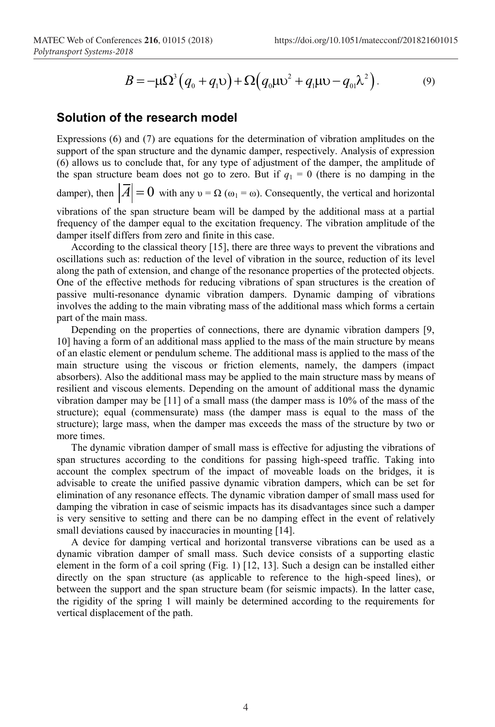$$
B = -\mu\Omega^3 (q_0 + q_1 \mathbf{v}) + \Omega (q_0 \mu \mathbf{v}^2 + q_1 \mu \mathbf{v} - q_0 \lambda^2).
$$
 (9)

#### **Solution of the research model**

Expressions (6) and (7) are equations for the determination of vibration amplitudes on the support of the span structure and the dynamic damper, respectively. Analysis of expression (6) allows us to conclude that, for any type of adjustment of the damper, the amplitude of the span structure beam does not go to zero. But if  $q_1 = 0$  (there is no damping in the damper), then  $|\overline{A}| = 0$  with any  $v = \Omega$  ( $\omega_1 = \omega$ ). Consequently, the vertical and horizontal vibrations of the span structure beam will be damped by the additional mass at a partial frequency of the damper equal to the excitation frequency. The vibration amplitude of the damper itself differs from zero and finite in this case.

According to the classical theory [15], there are three ways to prevent the vibrations and oscillations such as: reduction of the level of vibration in the source, reduction of its level along the path of extension, and change of the resonance properties of the protected objects. One of the effective methods for reducing vibrations of span structures is the creation of passive multi-resonance dynamic vibration dampers. Dynamic damping of vibrations involves the adding to the main vibrating mass of the additional mass which forms a certain part of the main mass.

Depending on the properties of connections, there are dynamic vibration dampers [9, 10] having a form of an additional mass applied to the mass of the main structure by means of an elastic element or pendulum scheme. The additional mass is applied to the mass of the main structure using the viscous or friction elements, namely, the dampers (impact absorbers). Also the additional mass may be applied to the main structure mass by means of resilient and viscous elements. Depending on the amount of additional mass the dynamic vibration damper may be [11] of a small mass (the damper mass is 10% of the mass of the structure); equal (commensurate) mass (the damper mass is equal to the mass of the structure); large mass, when the damper mas exceeds the mass of the structure by two or more times.

The dynamic vibration damper of small mass is effective for adjusting the vibrations of span structures according to the conditions for passing high-speed traffic. Taking into account the complex spectrum of the impact of moveable loads on the bridges, it is advisable to create the unified passive dynamic vibration dampers, which can be set for elimination of any resonance effects. The dynamic vibration damper of small mass used for damping the vibration in case of seismic impacts has its disadvantages since such a damper is very sensitive to setting and there can be no damping effect in the event of relatively small deviations caused by inaccuracies in mounting [14].

A device for damping vertical and horizontal transverse vibrations can be used as a dynamic vibration damper of small mass. Such device consists of a supporting elastic element in the form of a coil spring (Fig. 1) [12, 13]. Such a design can be installed either directly on the span structure (as applicable to reference to the high-speed lines), or between the support and the span structure beam (for seismic impacts). In the latter case, the rigidity of the spring 1 will mainly be determined according to the requirements for vertical displacement of the path.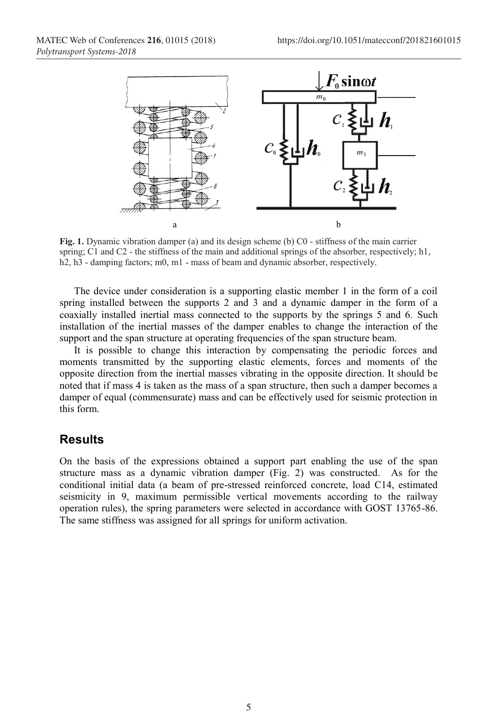

**Fig. 1.** Dynamic vibration damper (a) and its design scheme (b) C0 - stiffness of the main carrier spring; C1 and C2 - the stiffness of the main and additional springs of the absorber, respectively; h1, h2, h3 - damping factors; m0, m1 - mass of beam and dynamic absorber, respectively.

The device under consideration is a supporting elastic member 1 in the form of a coil spring installed between the supports 2 and 3 and a dynamic damper in the form of a coaxially installed inertial mass connected to the supports by the springs 5 and 6. Such installation of the inertial masses of the damper enables to change the interaction of the support and the span structure at operating frequencies of the span structure beam.

It is possible to change this interaction by compensating the periodic forces and moments transmitted by the supporting elastic elements, forces and moments of the opposite direction from the inertial masses vibrating in the opposite direction. It should be noted that if mass 4 is taken as the mass of a span structure, then such a damper becomes a damper of equal (commensurate) mass and can be effectively used for seismic protection in this form.

## **Results**

On the basis of the expressions obtained a support part enabling the use of the span structure mass as a dynamic vibration damper (Fig. 2) was constructed. As for the conditional initial data (a beam of pre-stressed reinforced concrete, load C14, estimated seismicity in 9, maximum permissible vertical movements according to the railway operation rules), the spring parameters were selected in accordance with GOST 13765-86. The same stiffness was assigned for all springs for uniform activation.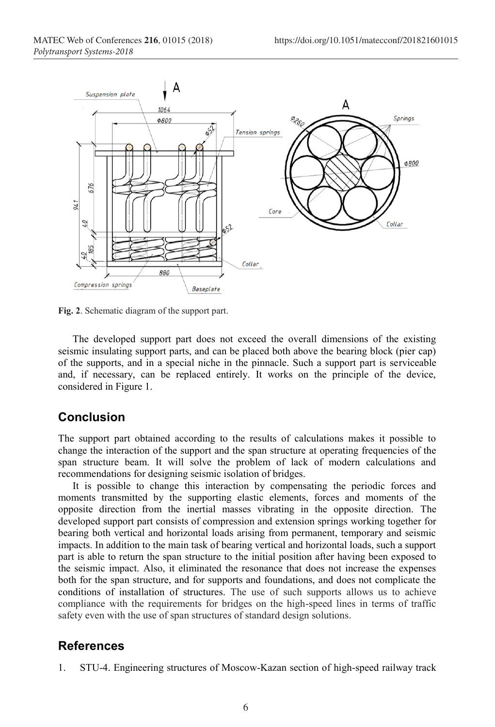

**Fig. 2**. Schematic diagram of the support part.

The developed support part does not exceed the overall dimensions of the existing seismic insulating support parts, and can be placed both above the bearing block (pier cap) of the supports, and in a special niche in the pinnacle. Such a support part is serviceable and, if necessary, can be replaced entirely. It works on the principle of the device, considered in Figure 1.

## **Conclusion**

The support part obtained according to the results of calculations makes it possible to change the interaction of the support and the span structure at operating frequencies of the span structure beam. It will solve the problem of lack of modern calculations and recommendations for designing seismic isolation of bridges.

It is possible to change this interaction by compensating the periodic forces and moments transmitted by the supporting elastic elements, forces and moments of the opposite direction from the inertial masses vibrating in the opposite direction. The developed support part consists of compression and extension springs working together for bearing both vertical and horizontal loads arising from permanent, temporary and seismic impacts. In addition to the main task of bearing vertical and horizontal loads, such a support part is able to return the span structure to the initial position after having been exposed to the seismic impact. Also, it eliminated the resonance that does not increase the expenses both for the span structure, and for supports and foundations, and does not complicate the conditions of installation of structures. The use of such supports allows us to achieve compliance with the requirements for bridges on the high-speed lines in terms of traffic safety even with the use of span structures of standard design solutions.

#### **References**

1. STU-4. Engineering structures of Moscow-Kazan section of high-speed railway track